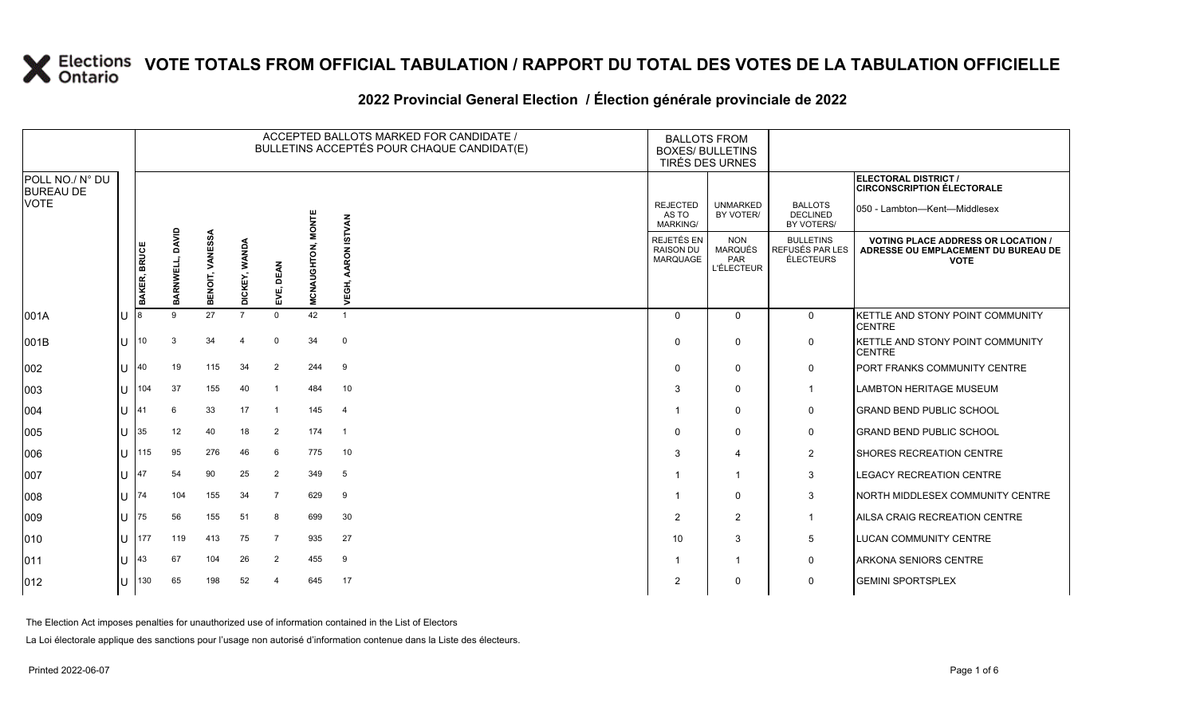#### **2022 Provincial General Election / Élection générale provinciale de 2022**

|                                     |    |              |                 |                 |                |                |              | ACCEPTED BALLOTS MARKED FOR CANDIDATE /<br>BULLETINS ACCEPTÉS POUR CHAQUE CANDIDAT(E) |                                            | <b>BALLOTS FROM</b><br><b>BOXES/ BULLETINS</b><br>TIRÉS DES URNES |                                                         |                                                                                                 |  |
|-------------------------------------|----|--------------|-----------------|-----------------|----------------|----------------|--------------|---------------------------------------------------------------------------------------|--------------------------------------------|-------------------------------------------------------------------|---------------------------------------------------------|-------------------------------------------------------------------------------------------------|--|
| POLL NO./ N° DU<br><b>BUREAU DE</b> |    |              |                 |                 |                |                |              |                                                                                       |                                            |                                                                   |                                                         | ELECTORAL DISTRICT /<br><b>CIRCONSCRIPTION ÉLECTORALE</b>                                       |  |
| <b>VOTE</b>                         |    |              |                 |                 |                |                | <b>MONTE</b> | <b>ISTVAN</b>                                                                         | <b>REJECTED</b><br>AS TO<br>MARKING/       | <b>UNMARKED</b><br>BY VOTER/                                      | <b>BALLOTS</b><br><b>DECLINED</b><br>BY VOTERS/         | 050 - Lambton-Kent-Middlesex                                                                    |  |
|                                     |    | BAKER, BRUCE | BARNWELL, DAVID | BENOIT, VANESSA | DICKEY, WANDA  | DEAN<br>EVË,   | MCNAUGHTON,  | AARON<br>VEGH,                                                                        | REJETÉS EN<br><b>RAISON DU</b><br>MARQUAGE | <b>NON</b><br><b>MARQUÉS</b><br>PAR<br><b>L'ÉLECTEUR</b>          | <b>BULLETINS</b><br>REFUSÉS PAR LES<br><b>ÉLECTEURS</b> | <b>VOTING PLACE ADDRESS OR LOCATION /</b><br>ADRESSE OU EMPLACEMENT DU BUREAU DE<br><b>VOTE</b> |  |
| 001A                                | lU |              | 9               | 27              | $\overline{7}$ | $\mathbf 0$    | 42           | $\mathbf{1}$                                                                          | $\Omega$                                   | $\mathbf 0$                                                       | $\mathbf 0$                                             | KETTLE AND STONY POINT COMMUNITY<br><b>CENTRE</b>                                               |  |
| 001B                                | lu | 10           | 3               | 34              | 4              | $\mathbf 0$    | 34           | 0                                                                                     | $\Omega$                                   | 0                                                                 | $\mathbf 0$                                             | <b>I</b> KETTLE AND STONY POINT COMMUNITY<br><b>CENTRE</b>                                      |  |
| 002                                 | lu | 40           | 19              | 115             | 34             | $\overline{2}$ | 244          | 9                                                                                     | $\Omega$                                   | $\mathbf 0$                                                       | $\mathbf 0$                                             | <b>PORT FRANKS COMMUNITY CENTRE</b>                                                             |  |
| 003                                 | lu | 104          | 37              | 155             | 40             |                | 484          | 10                                                                                    | 3                                          | $\Omega$                                                          | $\overline{1}$                                          | <b>LAMBTON HERITAGE MUSEUM</b>                                                                  |  |
| 004                                 | IΠ | 41           | 6               | 33              | 17             | -1             | 145          | $\overline{4}$                                                                        |                                            | 0                                                                 | 0                                                       | <b>GRAND BEND PUBLIC SCHOOL</b>                                                                 |  |
| 005                                 | lu | 35           | 12              | 40              | 18             | $\overline{2}$ | 174          | $\overline{1}$                                                                        | $\Omega$                                   | $\Omega$                                                          | 0                                                       | <b>GRAND BEND PUBLIC SCHOOL</b>                                                                 |  |
| 006                                 | IП | 115          | 95              | 276             | 46             | 6              | 775          | 10                                                                                    | 3                                          | $\overline{4}$                                                    | $\overline{2}$                                          | <b>ISHORES RECREATION CENTRE</b>                                                                |  |
| 007                                 | lu | 47           | 54              | 90              | 25             | $\overline{2}$ | 349          | 5                                                                                     |                                            | $\overline{1}$                                                    | $\mathbf{3}$                                            | LEGACY RECREATION CENTRE                                                                        |  |
| 008                                 | lu | 174          | 104             | 155             | 34             | $\overline{7}$ | 629          | 9                                                                                     |                                            | $\Omega$                                                          | 3                                                       | NORTH MIDDLESEX COMMUNITY CENTRE                                                                |  |
| 009                                 | ΙU | 75           | 56              | 155             | 51             | 8              | 699          | 30                                                                                    | $\overline{2}$                             | $\overline{2}$                                                    | $\overline{1}$                                          | AILSA CRAIG RECREATION CENTRE                                                                   |  |
| 010                                 | lu | 177          | 119             | 413             | 75             | 7              | 935          | 27                                                                                    | 10                                         | 3                                                                 | 5                                                       | <b>LUCAN COMMUNITY CENTRE</b>                                                                   |  |
| 011                                 | lu | 43           | 67              | 104             | 26             | 2              | 455          | 9                                                                                     |                                            | $\overline{1}$                                                    | $\mathbf 0$                                             | <b>ARKONA SENIORS CENTRE</b>                                                                    |  |
| $ 012\rangle$                       | ΙU | 130          | 65              | 198             | 52             | 4              | 645          | 17                                                                                    | $\overline{2}$                             | $\mathbf 0$                                                       | $\mathbf 0$                                             | <b>GEMINI SPORTSPLEX</b>                                                                        |  |

The Election Act imposes penalties for unauthorized use of information contained in the List of Electors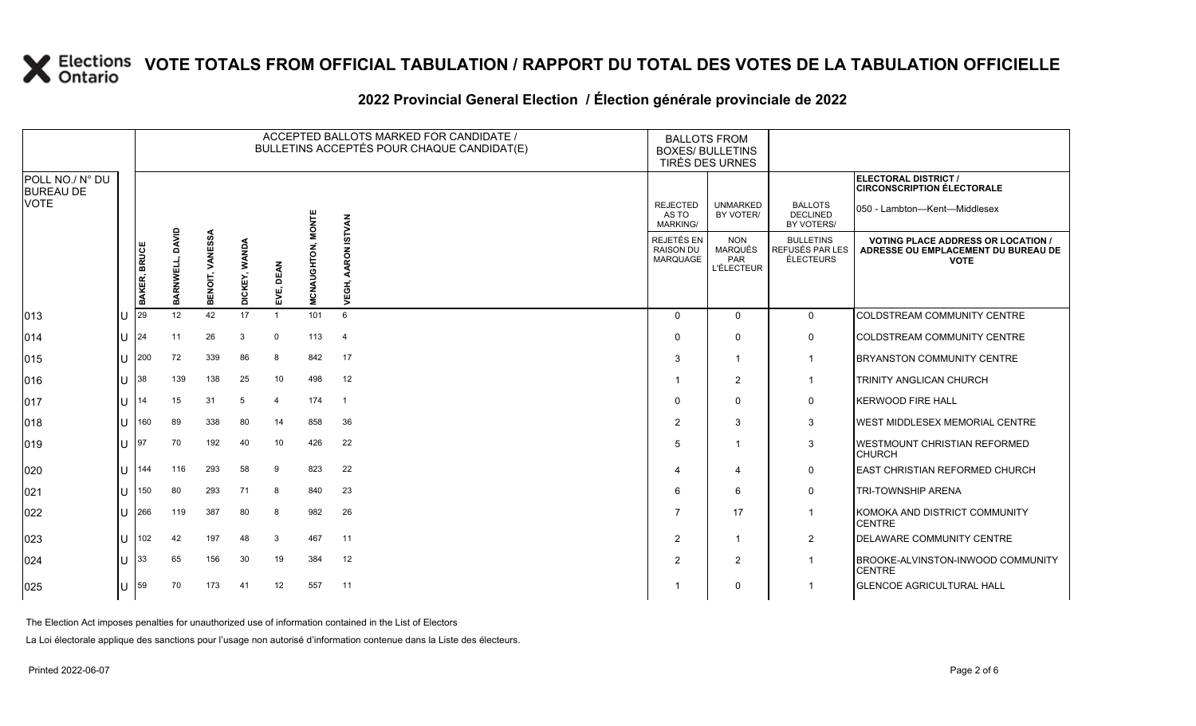#### **2022 Provincial General Election / Élection générale provinciale de 2022**

|                                     |                       |              |                    |                 |                         |                  |              | ACCEPTED BALLOTS MARKED FOR CANDIDATE /<br>BULLETINS ACCEPTÉS POUR CHAQUE CANDIDAT(E) | <b>BALLOTS FROM</b><br><b>BOXES/ BULLETINS</b><br>TIRÉS DES URNES |                                                          |                                                         |                                                                                                 |
|-------------------------------------|-----------------------|--------------|--------------------|-----------------|-------------------------|------------------|--------------|---------------------------------------------------------------------------------------|-------------------------------------------------------------------|----------------------------------------------------------|---------------------------------------------------------|-------------------------------------------------------------------------------------------------|
| POLL NO./ N° DU<br><b>BUREAU DE</b> |                       |              |                    |                 |                         |                  |              |                                                                                       |                                                                   |                                                          |                                                         | <b>ELECTORAL DISTRICT /</b><br><b>CIRCONSCRIPTION ÉLECTORALE</b>                                |
| <b>VOTE</b>                         |                       |              |                    |                 |                         |                  | <b>MONTE</b> | <b>ISTVAN</b>                                                                         | <b>REJECTED</b><br>AS TO<br><b>MARKING/</b>                       | <b>UNMARKED</b><br>BY VOTER/                             | <b>BALLOTS</b><br><b>DECLINED</b><br>BY VOTERS/         | 050 - Lambton-Kent-Middlesex                                                                    |
|                                     |                       | BAKER, BRUCE | DAVID<br>BARNWELL, | BENOIT, VANESSA | <b>WANDA</b><br>DICKEY, | <b>DEAN</b><br>옶 | MCNAUGHTON,  | $\overline{6}$<br>공<br>ÿ                                                              | REJETÉS EN<br><b>RAISON DU</b><br><b>MARQUAGE</b>                 | <b>NON</b><br><b>MARQUÉS</b><br>PAR<br><b>L'ÉLECTEUR</b> | <b>BULLETINS</b><br>REFUSÉS PAR LES<br><b>ÉLECTEURS</b> | <b>VOTING PLACE ADDRESS OR LOCATION /</b><br>ADRESSE OU EMPLACEMENT DU BUREAU DE<br><b>VOTE</b> |
| 013                                 | ПT                    | l29          | 12                 | 42              | 17                      | $\mathbf{1}$     | 101          | 6                                                                                     | $\Omega$                                                          | $\mathbf{0}$                                             | $\mathbf{0}$                                            | COLDSTREAM COMMUNITY CENTRE                                                                     |
| 014                                 | $\lfloor \rfloor$  24 |              | 11                 | 26              | 3                       | $\mathbf 0$      | 113          | $\overline{4}$                                                                        | $\Omega$                                                          | $\Omega$                                                 | 0                                                       | <b>COLDSTREAM COMMUNITY CENTRE</b>                                                              |
| 015                                 | ΠT                    | 200          | 72                 | 339             | 86                      | 8                | 842          | 17                                                                                    | 3                                                                 |                                                          | -1                                                      | <b>BRYANSTON COMMUNITY CENTRE</b>                                                               |
| 016                                 | $ U $ 38              |              | 139                | 138             | 25                      | 10               | 498          | 12                                                                                    |                                                                   | 2                                                        | $\mathbf 1$                                             | TRINITY ANGLICAN CHURCH                                                                         |
| 017                                 | ΠL                    | 14           | 15                 | 31              | 5                       | $\overline{4}$   | 174          | $\overline{1}$                                                                        | $\Omega$                                                          | $\Omega$                                                 | $\mathbf 0$                                             | <b>KERWOOD FIRE HALL</b>                                                                        |
| 018                                 | ΠT                    | 160          | 89                 | 338             | 80                      | 14               | 858          | 36                                                                                    | $\overline{2}$                                                    | 3                                                        | 3                                                       | <b>WEST MIDDLESEX MEMORIAL CENTRE</b>                                                           |
| $ 019\rangle$                       | ΠT                    | 197          | 70                 | 192             | 40                      | 10               | 426          | 22                                                                                    | 5                                                                 |                                                          | 3                                                       | <b>WESTMOUNT CHRISTIAN REFORMED</b><br><b>CHURCH</b>                                            |
| 020                                 | $\mathbf{H}$          | 144          | 116                | 293             | 58                      | 9                | 823          | 22                                                                                    | 4                                                                 | 4                                                        | $\mathbf 0$                                             | <b>EAST CHRISTIAN REFORMED CHURCH</b>                                                           |
| 021                                 | ΠT                    | 150          | 80                 | 293             | 71                      | 8                | 840          | 23                                                                                    | 6                                                                 | 6                                                        | $\mathbf 0$                                             | <b>TRI-TOWNSHIP ARENA</b>                                                                       |
| 022                                 | ПT                    | 266          | 119                | 387             | 80                      | 8                | 982          | 26                                                                                    | 7                                                                 | 17                                                       | $\mathbf 1$                                             | KOMOKA AND DISTRICT COMMUNITY<br><b>CENTRE</b>                                                  |
| 023                                 | $\mathbf{U}$          | 102          | 42                 | 197             | 48                      | 3                | 467          | 11                                                                                    | $\overline{2}$                                                    |                                                          | $\overline{2}$                                          | DELAWARE COMMUNITY CENTRE                                                                       |
| 024                                 | $\mathbf{H}$          | 33           | 65                 | 156             | 30                      | 19               | 384          | 12                                                                                    | 2                                                                 | 2                                                        | -1                                                      | <b>BROOKE-ALVINSTON-INWOOD COMMUNITY</b><br><b>CENTRE</b>                                       |
| $ 025\rangle$                       | IU.                   | 59           | 70                 | 173             | 41                      | 12               | 557          | 11                                                                                    |                                                                   | $\mathbf 0$                                              | -1                                                      | <b>GLENCOE AGRICULTURAL HALL</b>                                                                |

The Election Act imposes penalties for unauthorized use of information contained in the List of Electors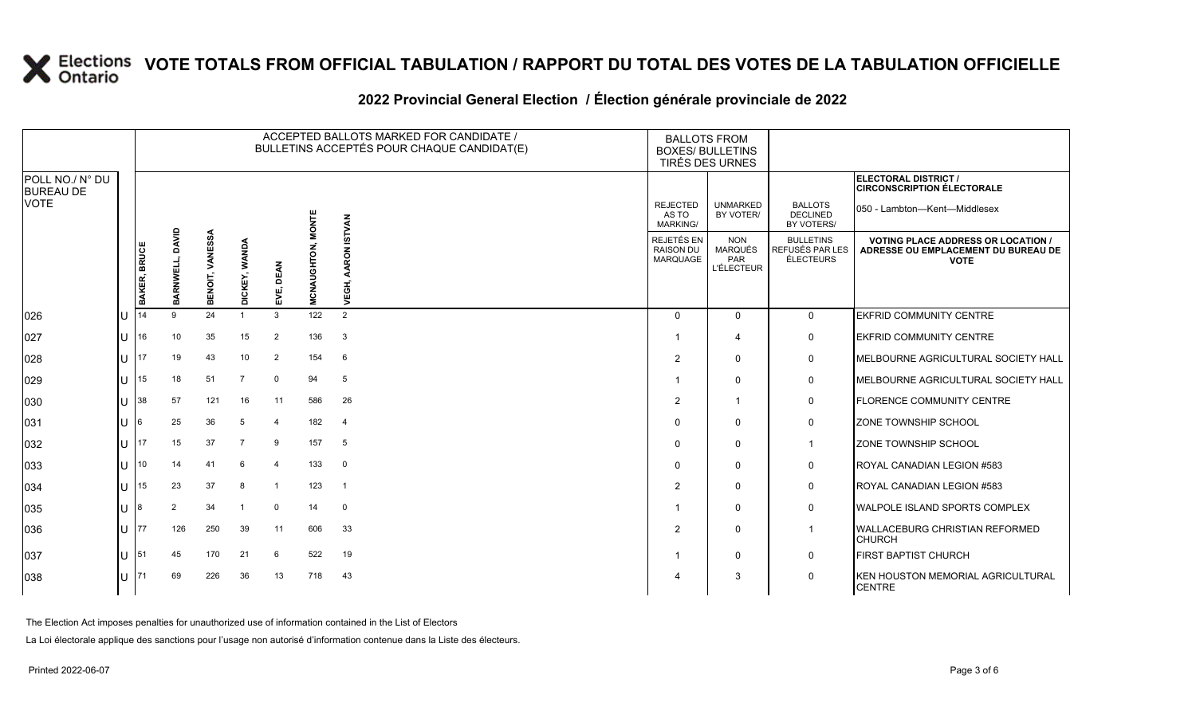#### **2022 Provincial General Election / Élection générale provinciale de 2022**

|                                     |    |              |                       |                 |               |                |              | ACCEPTED BALLOTS MARKED FOR CANDIDATE /<br>BULLETINS ACCEPTÉS POUR CHAQUE CANDIDAT(E) |                                             | <b>BALLOTS FROM</b><br><b>BOXES/ BULLETINS</b><br>TIRÉS DES URNES |                                                  |                                                                                               |
|-------------------------------------|----|--------------|-----------------------|-----------------|---------------|----------------|--------------|---------------------------------------------------------------------------------------|---------------------------------------------|-------------------------------------------------------------------|--------------------------------------------------|-----------------------------------------------------------------------------------------------|
| POLL NO./ N° DU<br><b>BUREAU DE</b> |    |              |                       |                 |               |                |              |                                                                                       |                                             |                                                                   |                                                  | ELECTORAL DISTRICT /<br><b>CIRCONSCRIPTION ÉLECTORALE</b>                                     |
| <b>VOTE</b>                         |    |              |                       |                 |               |                | <b>MONTE</b> | <b>ISTVAN</b>                                                                         | <b>REJECTED</b><br>AS TO<br><b>MARKING/</b> | <b>UNMARKED</b><br>BY VOTER/                                      | <b>BALLOTS</b><br><b>DECLINED</b><br>BY VOTERS/  | 050 - Lambton-Kent-Middlesex                                                                  |
|                                     |    | BAKER, BRUCE | DAVID<br>RNWELL,<br>图 | BENOIT, VANESSA | DICKEY, WANDA | DEAN<br>EVË,   | MCNAUGHTON,  | $\mathbf{r}$<br>ш<br>>                                                                | REJETÉS EN<br><b>RAISON DU</b><br>MARQUAGE  | <b>NON</b><br><b>MARQUÉS</b><br>PAR<br><b>L'ÉLECTEUR</b>          | <b>BULLETINS</b><br>REFUSÉS PAR LES<br>ÉLECTEURS | <b>VOTING PLACE ADDRESS OR LOCATION</b><br>ADRESSE OU EMPLACEMENT DU BUREAU DE<br><b>VOTE</b> |
| 026                                 | lU | 14           | 9                     | 24              |               | 3              | 122          | 2                                                                                     | $\Omega$                                    | $\Omega$                                                          | $\mathbf{0}$                                     | <b>EKFRID COMMUNITY CENTRE</b>                                                                |
| 027                                 | lu | 16           | 10                    | 35              | 15            | $\overline{2}$ | 136          | $\mathbf{3}$                                                                          |                                             | $\boldsymbol{\Delta}$                                             | $\mathbf 0$                                      | <b>EKFRID COMMUNITY CENTRE</b>                                                                |
| 028                                 | lu | 17           | 19                    | 43              | 10            | $\overline{2}$ | 154          | 6                                                                                     | 2                                           | $\mathbf{0}$                                                      | 0                                                | MELBOURNE AGRICULTURAL SOCIETY HALL                                                           |
| 029                                 | lU | 15           | 18                    | 51              | 7             | $\Omega$       | 94           | 5                                                                                     | -1                                          | $\Omega$                                                          | $\mathsf{O}$                                     | MELBOURNE AGRICULTURAL SOCIETY HALL                                                           |
| 030                                 | lu | 38           | 57                    | 121             | 16            | 11             | 586          | 26                                                                                    | $\overline{2}$                              | -1                                                                | $\mathbf 0$                                      | <b>FLORENCE COMMUNITY CENTRE</b>                                                              |
| 031                                 | lu | 6            | 25                    | 36              | 5             | $\overline{4}$ | 182          | 4                                                                                     | $\Omega$                                    | $\mathbf{0}$                                                      | $\mathsf{O}$                                     | ZONE TOWNSHIP SCHOOL                                                                          |
| 032                                 | lu | 17           | 15                    | 37              | 7             | 9              | 157          | 5                                                                                     | $\Omega$                                    | $\Omega$                                                          | $\mathbf 1$                                      | ZONE TOWNSHIP SCHOOL                                                                          |
| 033                                 | lu | 10           | 14                    | 41              | 6             | $\overline{4}$ | 133          | $\mathbf 0$                                                                           | $\Omega$                                    | $\Omega$                                                          | $\mathbf 0$                                      | ROYAL CANADIAN LEGION #583                                                                    |
| 034                                 | lU | 15           | 23                    | 37              | 8             | -1             | 123          | $\overline{1}$                                                                        | $\overline{2}$                              | $\Omega$                                                          | $\mathbf 0$                                      | ROYAL CANADIAN LEGION #583                                                                    |
| 035                                 | lU |              | 2                     | 34              |               | $\mathbf 0$    | 14           | $\mathbf{0}$                                                                          |                                             | $\Omega$                                                          | $\mathsf{O}$                                     | <b>WALPOLE ISLAND SPORTS COMPLEX</b>                                                          |
| 036                                 | lU | 77           | 126                   | 250             | 39            | 11             | 606          | 33                                                                                    | $\overline{2}$                              | $\mathbf{0}$                                                      | $\mathbf 1$                                      | WALLACEBURG CHRISTIAN REFORMED<br><b>CHURCH</b>                                               |
| 037                                 | lU | 51           | 45                    | 170             | 21            | 6              | 522          | 19                                                                                    | -1                                          | $\mathbf{0}$                                                      | $\mathsf{O}$                                     | <b>FIRST BAPTIST CHURCH</b>                                                                   |
| 038                                 | lυ |              | 69                    | 226             | 36            | 13             | 718          | 43                                                                                    | Δ                                           | 3                                                                 | $\mathbf 0$                                      | KEN HOUSTON MEMORIAL AGRICULTURAL<br><b>CENTRE</b>                                            |

The Election Act imposes penalties for unauthorized use of information contained in the List of Electors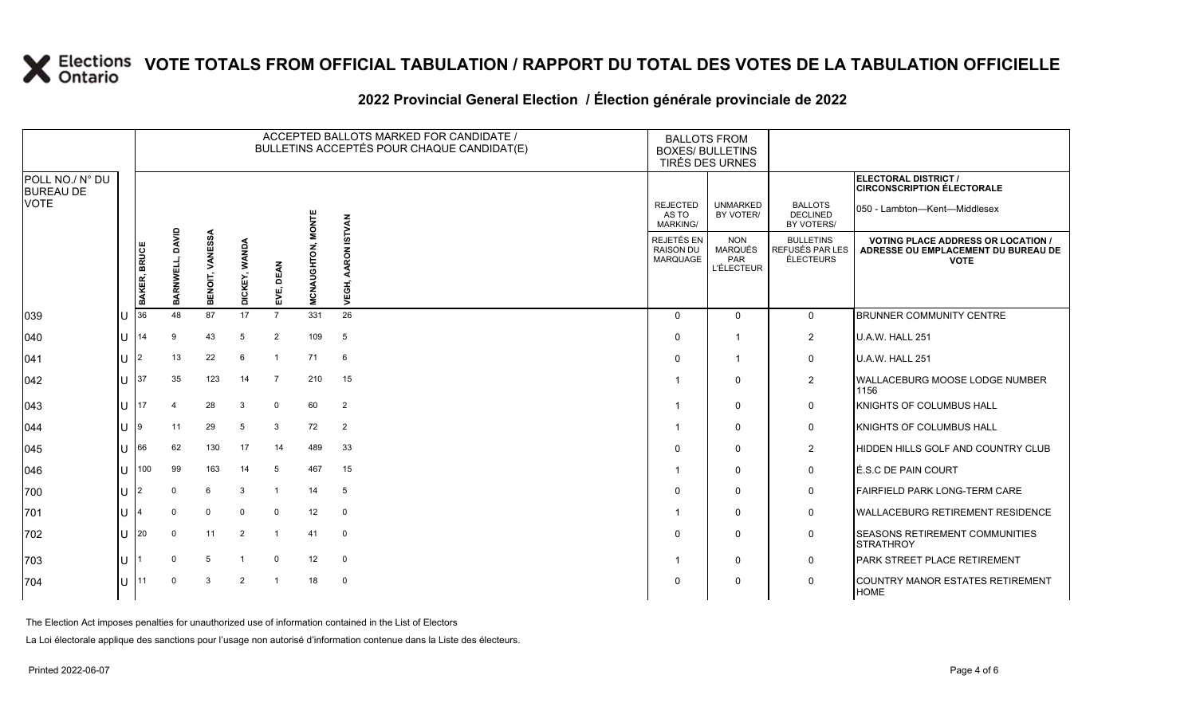#### **2022 Provincial General Election / Élection générale provinciale de 2022**

|                                     |   |                |                    |                        |                |                |              | ACCEPTED BALLOTS MARKED FOR CANDIDATE /<br>BULLETINS ACCEPTÉS POUR CHAQUE CANDIDAT(E) | <b>BALLOTS FROM</b><br><b>BOXES/ BULLETINS</b><br>TIRÉS DES URNES |                                                          |                                                  |                                                                                                 |
|-------------------------------------|---|----------------|--------------------|------------------------|----------------|----------------|--------------|---------------------------------------------------------------------------------------|-------------------------------------------------------------------|----------------------------------------------------------|--------------------------------------------------|-------------------------------------------------------------------------------------------------|
| POLL NO./ N° DU<br><b>BUREAU DE</b> |   |                |                    |                        |                |                |              |                                                                                       |                                                                   |                                                          |                                                  | <b>ELECTORAL DISTRICT /</b><br><b>CIRCONSCRIPTION ÉLECTORALE</b>                                |
| <b>VOTE</b>                         |   |                |                    |                        |                |                | <b>MONTE</b> | <b>ISTVAN</b>                                                                         | <b>REJECTED</b><br>AS TO<br><b>MARKING/</b>                       | <b>UNMARKED</b><br>BY VOTER/                             | <b>BALLOTS</b><br><b>DECLINED</b><br>BY VOTERS/  | 050 - Lambton-Kent-Middlesex                                                                    |
|                                     |   | BAKER, BRUCE   | DAVID<br>BARNWELL, | <b>BENOIT, VANESSA</b> | DICKEY, WANDA  | DEAN<br>EVË,   | MCNAUGHTON,  | ă<br>VEGH,                                                                            | REJETÉS EN<br><b>RAISON DU</b><br><b>MARQUAGE</b>                 | <b>NON</b><br><b>MARQUÉS</b><br>PAR<br><b>L'ÉLECTEUR</b> | <b>BULLETINS</b><br>REFUSÉS PAR LES<br>ÉLECTEURS | <b>VOTING PLACE ADDRESS OR LOCATION /</b><br>ADRESSE OU EMPLACEMENT DU BUREAU DE<br><b>VOTE</b> |
| 039                                 | U | 36             | 48                 | 87                     | 17             | $\overline{7}$ | 331          | 26                                                                                    | $\Omega$                                                          | $\Omega$                                                 | $\mathbf 0$                                      | <b>BRUNNER COMMUNITY CENTRE</b>                                                                 |
| 040                                 | U | 14             | 9                  | 43                     | 5              | 2              | 109          | 5                                                                                     | $\Omega$                                                          | -1                                                       | 2                                                | <b>U.A.W. HALL 251</b>                                                                          |
| 041                                 | U | $\overline{2}$ | 13                 | 22                     | 6              | $\overline{1}$ | 71           | 6                                                                                     | $\Omega$                                                          | -1                                                       | $\mathbf 0$                                      | <b>U.A.W. HALL 251</b>                                                                          |
| 042                                 | U | 37             | 35                 | 123                    | 14             | 7              | 210          | 15                                                                                    |                                                                   | $\Omega$                                                 | $\overline{2}$                                   | WALLACEBURG MOOSE LODGE NUMBER<br>1156                                                          |
| 043                                 | U | 17             |                    | 28                     | 3              | $\mathbf 0$    | 60           | $\overline{2}$                                                                        | -1                                                                | $\Omega$                                                 | 0                                                | KNIGHTS OF COLUMBUS HALL                                                                        |
| 044                                 | U | 19             | 11                 | 29                     | 5              | 3              | 72           | 2                                                                                     |                                                                   | $\Omega$                                                 | 0                                                | KNIGHTS OF COLUMBUS HALL                                                                        |
| 045                                 | U | 66             | 62                 | 130                    | 17             | 14             | 489          | 33                                                                                    | $\Omega$                                                          | $\Omega$                                                 | $\overline{2}$                                   | HIDDEN HILLS GOLF AND COUNTRY CLUB                                                              |
| 046                                 | U | 100            | 99                 | 163                    | 14             | 5              | 467          | 15                                                                                    |                                                                   | $\Omega$                                                 | 0                                                | É.S.C DE PAIN COURT                                                                             |
| 700                                 | U |                |                    | 6                      | 3              |                | 14           | 5                                                                                     | $\Omega$                                                          | 0                                                        | 0                                                | <b>FAIRFIELD PARK LONG-TERM CARE</b>                                                            |
| 701                                 | U |                | $\Omega$           | $\mathbf{0}$           | $\Omega$       | $\mathbf 0$    | 12           | $\mathbf 0$                                                                           |                                                                   | $\Omega$                                                 | $\mathbf 0$                                      | WALLACEBURG RETIREMENT RESIDENCE                                                                |
| 702                                 | U | 20             | $\mathbf 0$        | 11                     | 2              | $\overline{1}$ | 41           | $\mathbf 0$                                                                           | $\Omega$                                                          | $\Omega$                                                 | $\mathbf 0$                                      | <b>SEASONS RETIREMENT COMMUNITIES</b><br><b>STRATHROY</b>                                       |
| 703                                 | U |                | $\Omega$           | 5                      |                | $\mathbf 0$    | 12           | $\mathbf 0$                                                                           |                                                                   | $\Omega$                                                 | 0                                                | PARK STREET PLACE RETIREMENT                                                                    |
| 704                                 | U | 11             |                    | 3                      | $\overline{2}$ |                | 18           | $\mathbf 0$                                                                           | $\Omega$                                                          | 0                                                        | $\mathbf 0$                                      | COUNTRY MANOR ESTATES RETIREMENT<br><b>HOME</b>                                                 |

The Election Act imposes penalties for unauthorized use of information contained in the List of Electors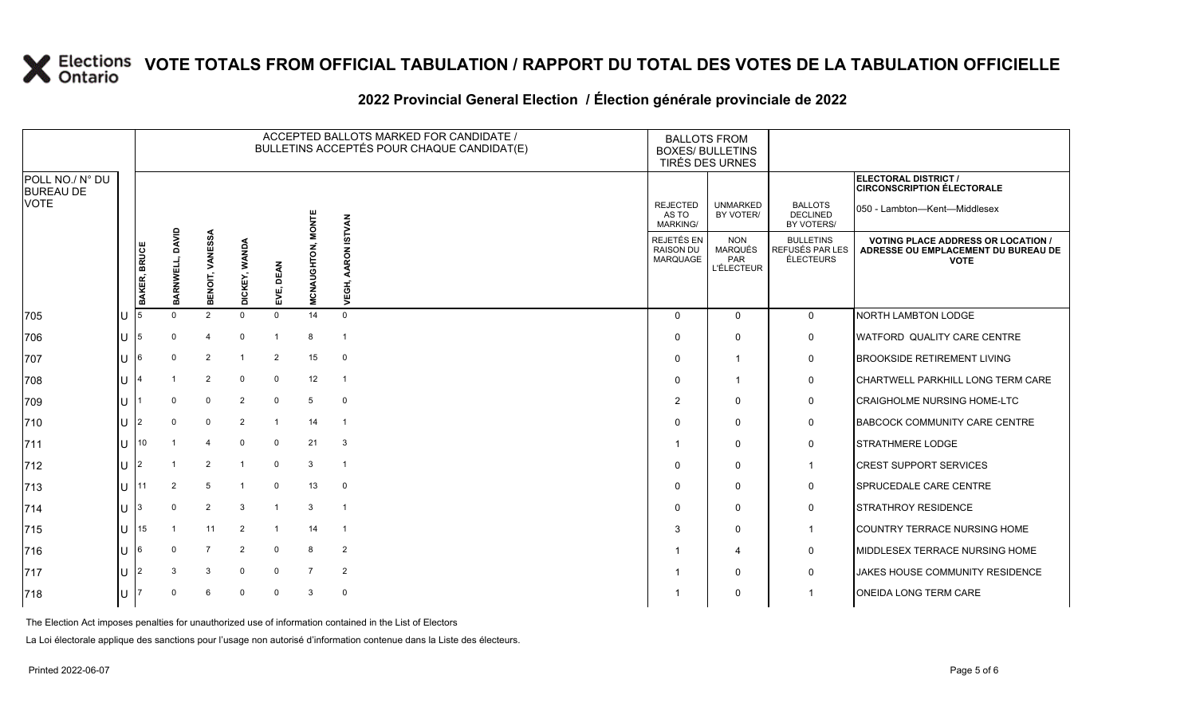#### **2022 Provincial General Election / Élection générale provinciale de 2022**

|                                     |                                       | ACCEPTED BALLOTS MARKED FOR CANDIDATE /<br>BULLETINS ACCEPTÉS POUR CHAQUE CANDIDAT(E) |                        |                |                     |                |                |                                                   | <b>BALLOTS FROM</b><br><b>BOXES/ BULLETINS</b><br>TIRÉS DES URNES |                                                  |                                                                                                 |                                                           |
|-------------------------------------|---------------------------------------|---------------------------------------------------------------------------------------|------------------------|----------------|---------------------|----------------|----------------|---------------------------------------------------|-------------------------------------------------------------------|--------------------------------------------------|-------------------------------------------------------------------------------------------------|-----------------------------------------------------------|
| POLL NO./ N° DU<br><b>BUREAU DE</b> |                                       |                                                                                       |                        |                |                     |                |                |                                                   |                                                                   |                                                  |                                                                                                 | ELECTORAL DISTRICT /<br><b>CIRCONSCRIPTION ÉLECTORALE</b> |
| <b>VOTE</b>                         |                                       |                                                                                       |                        |                |                     |                | <b>MONTE</b>   | <b>ISTVAN</b>                                     | <b>REJECTED</b><br>AS TO<br>MARKING/                              | <b>UNMARKED</b><br>BY VOTER/                     | <b>BALLOTS</b><br><b>DECLINED</b><br>BY VOTERS/                                                 | 050 - Lambton-Kent-Middlesex                              |
|                                     | BAKER, BRUCE                          | DAVID<br>BARNWELL,                                                                    | <b>BENOIT, VANESSA</b> | DICKEY, WANDA  | <b>DEAN</b><br>EVË, | MCNAUGHTON,    | AARON<br>VEGH, | <b>REJETÉS EN</b><br><b>RAISON DU</b><br>MARQUAGE | <b>NON</b><br>MARQUÉS<br>PAR<br><b>L'ÉLECTEUR</b>                 | <b>BULLETINS</b><br>REFUSÉS PAR LES<br>ÉLECTEURS | <b>VOTING PLACE ADDRESS OR LOCATION /</b><br>ADRESSE OU EMPLACEMENT DU BUREAU DE<br><b>VOTE</b> |                                                           |
| 705                                 | U                                     |                                                                                       |                        | 2              | $\Omega$            | $\mathbf 0$    | 14             | $\Omega$                                          | $\Omega$                                                          | $\mathbf{0}$                                     | $\mathbf 0$                                                                                     | NORTH LAMBTON LODGE                                       |
| 706                                 | lU.                                   | 15                                                                                    |                        | $\overline{4}$ | $\Omega$            | -1             | 8              | $\mathbf{1}$                                      | $\Omega$                                                          | $\mathbf{0}$                                     | 0                                                                                               | <b>WATFORD QUALITY CARE CENTRE</b>                        |
| 707                                 | U                                     | 16                                                                                    |                        | 2              |                     | 2              | 15             | $\mathbf 0$                                       | $\Omega$                                                          |                                                  | 0                                                                                               | <b>BROOKSIDE RETIREMENT LIVING</b>                        |
| 708                                 | ПJ                                    |                                                                                       |                        | 2              | $\Omega$            | 0              | 12             | $\mathbf{1}$                                      | $\Omega$                                                          |                                                  | 0                                                                                               | CHARTWELL PARKHILL LONG TERM CARE                         |
| 709                                 | lU.                                   |                                                                                       |                        | 0              | $\overline{2}$      | $\mathbf 0$    | 5              | $\mathbf 0$                                       | $\overline{2}$                                                    | $\mathbf{0}$                                     | 0                                                                                               | <b>CRAIGHOLME NURSING HOME-LTC</b>                        |
| 710                                 | U                                     | l2                                                                                    |                        | $\mathbf 0$    | $\overline{2}$      | $\mathbf{1}$   | 14             | $\overline{1}$                                    | $\Omega$                                                          | $\mathbf 0$                                      | 0                                                                                               | <b>BABCOCK COMMUNITY CARE CENTRE</b>                      |
| 711                                 | $1J$ 10                               |                                                                                       |                        | $\overline{4}$ | 0                   | $\mathbf 0$    | 21             | 3                                                 |                                                                   | $\mathbf{0}$                                     | $\mathbf 0$                                                                                     | <b>STRATHMERE LODGE</b>                                   |
| 712                                 | lU.                                   | l2                                                                                    |                        | 2              |                     | $\mathbf 0$    | 3              | $\mathbf{1}$                                      | $\Omega$                                                          | $\mathbf{0}$                                     | $\mathbf 1$                                                                                     | <b>CREST SUPPORT SERVICES</b>                             |
| 713                                 | lu                                    | 111                                                                                   | $\overline{2}$         | 5              |                     | $\mathbf 0$    | 13             | $\mathbf 0$                                       | $\Omega$                                                          | $\mathbf{0}$                                     | 0                                                                                               | <b>SPRUCEDALE CARE CENTRE</b>                             |
| 714                                 | $\lfloor \rfloor$ $\lfloor 3 \rfloor$ |                                                                                       | $\Omega$               | 2              | 3                   | $\overline{1}$ | 3              | $\overline{1}$                                    | $\Omega$                                                          | $\Omega$                                         | 0                                                                                               | <b>STRATHROY RESIDENCE</b>                                |
| 715                                 | U                                     | 15                                                                                    |                        | 11             | $\overline{2}$      | $\overline{1}$ | 14             | $\mathbf{1}$                                      | 3                                                                 | $\mathbf 0$                                      | $\overline{1}$                                                                                  | <b>COUNTRY TERRACE NURSING HOME</b>                       |
| 716                                 | $ U $ <sup>6</sup>                    |                                                                                       |                        | $\overline{7}$ | $\overline{2}$      | $\mathbf 0$    | 8              | $\overline{2}$                                    |                                                                   | 4                                                | 0                                                                                               | MIDDLESEX TERRACE NURSING HOME                            |
| 717                                 | lU.                                   | 12                                                                                    | 3                      | 3              | $\mathbf 0$         | 0              | $\overline{7}$ | 2                                                 |                                                                   | $\mathbf{0}$                                     | 0                                                                                               | JAKES HOUSE COMMUNITY RESIDENCE                           |
| 718                                 | U                                     |                                                                                       |                        | 6              | $\mathbf{0}$        | $\Omega$       | 3              | $\mathbf 0$                                       |                                                                   | $\Omega$                                         |                                                                                                 | <b>ONEIDA LONG TERM CARE</b>                              |

The Election Act imposes penalties for unauthorized use of information contained in the List of Electors